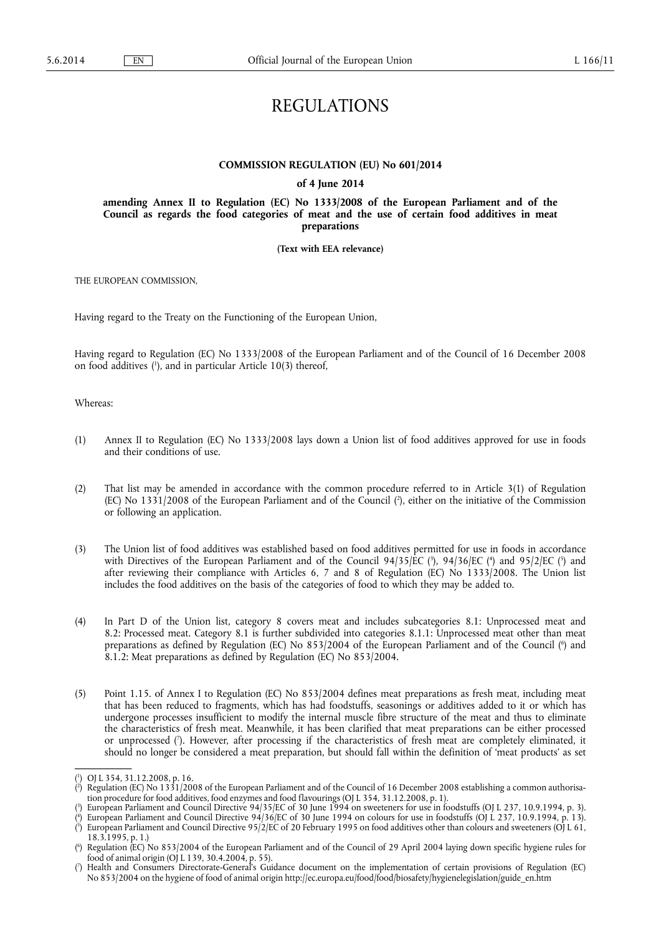# REGULATIONS

#### **COMMISSION REGULATION (EU) No 601/2014**

#### **of 4 June 2014**

**amending Annex II to Regulation (EC) No 1333/2008 of the European Parliament and of the Council as regards the food categories of meat and the use of certain food additives in meat preparations** 

**(Text with EEA relevance)** 

THE EUROPEAN COMMISSION,

Having regard to the Treaty on the Functioning of the European Union,

Having regard to Regulation (EC) No 1333/2008 of the European Parliament and of the Council of 16 December 2008 on food additives ( 1 ), and in particular Article 10(3) thereof,

Whereas:

- (1) Annex II to Regulation (EC) No 1333/2008 lays down a Union list of food additives approved for use in foods and their conditions of use.
- (2) That list may be amended in accordance with the common procedure referred to in Article 3(1) of Regulation (EC) No 1331/2008 of the European Parliament and of the Council ( 2 ), either on the initiative of the Commission or following an application.
- (3) The Union list of food additives was established based on food additives permitted for use in foods in accordance with Directives of the European Parliament and of the Council  $94/35/EC$  ( $\hat{\ }$ ),  $94/36/EC$  ( $\hat{\ }$ ) and  $95/2/EC$  ( $\hat{\ }$ ) and after reviewing their compliance with Articles 6, 7 and 8 of Regulation (EC) No 1333/2008. The Union list includes the food additives on the basis of the categories of food to which they may be added to.
- (4) In Part D of the Union list, category 8 covers meat and includes subcategories 8.1: Unprocessed meat and 8.2: Processed meat. Category 8.1 is further subdivided into categories 8.1.1: Unprocessed meat other than meat preparations as defined by Regulation (EC) No 853/2004 of the European Parliament and of the Council ( 6 ) and 8.1.2: Meat preparations as defined by Regulation (EC) No 853/2004.
- (5) Point 1.15. of Annex I to Regulation (EC) No 853/2004 defines meat preparations as fresh meat, including meat that has been reduced to fragments, which has had foodstuffs, seasonings or additives added to it or which has undergone processes insufficient to modify the internal muscle fibre structure of the meat and thus to eliminate the characteristics of fresh meat. Meanwhile, it has been clarified that meat preparations can be either processed or unprocessed ( 7 ). However, after processing if the characteristics of fresh meat are completely eliminated, it should no longer be considered a meat preparation, but should fall within the definition of 'meat products' as set

<sup>(</sup> 1 ) OJ L 354, 31.12.2008, p. 16.

<sup>(</sup> 2 ) Regulation (EC) No 1331/2008 of the European Parliament and of the Council of 16 December 2008 establishing a common authorisation procedure for food additives, food enzymes and food flavourings (OJ L 354, 31.12.2008, p. 1).

<sup>(</sup> 3 ) European Parliament and Council Directive 94/35/EC of 30 June 1994 on sweeteners for use in foodstuffs (OJ L 237, 10.9.1994, p. 3).  $($ <sup>4</sup> ) European Parliament and Council Directive 94/36/EC of 30 June 1994 on colours for use in foodstuffs (OJ L 237, 10.9.1994, p. 13).

<sup>(</sup> 5 ) European Parliament and Council Directive 95/2/EC of 20 February 1995 on food additives other than colours and sweeteners (OJ L 61, 18.3.1995, p. 1.)

<sup>(</sup> 6 ) Regulation (EC) No 853/2004 of the European Parliament and of the Council of 29 April 2004 laying down specific hygiene rules for food of animal origin (OJ L 139, 30.4.2004, p. 55).

<sup>(</sup> 7 ) Health and Consumers Directorate-General's Guidance document on the implementation of certain provisions of Regulation (EC) No 853/2004 on the hygiene of food of animal origin [http://ec.europa.eu/food/food/biosafety/hygienelegislation/guide\\_en.htm](http://ec.europa.eu/food/food/biosafety/hygienelegislation/guide_en.htm)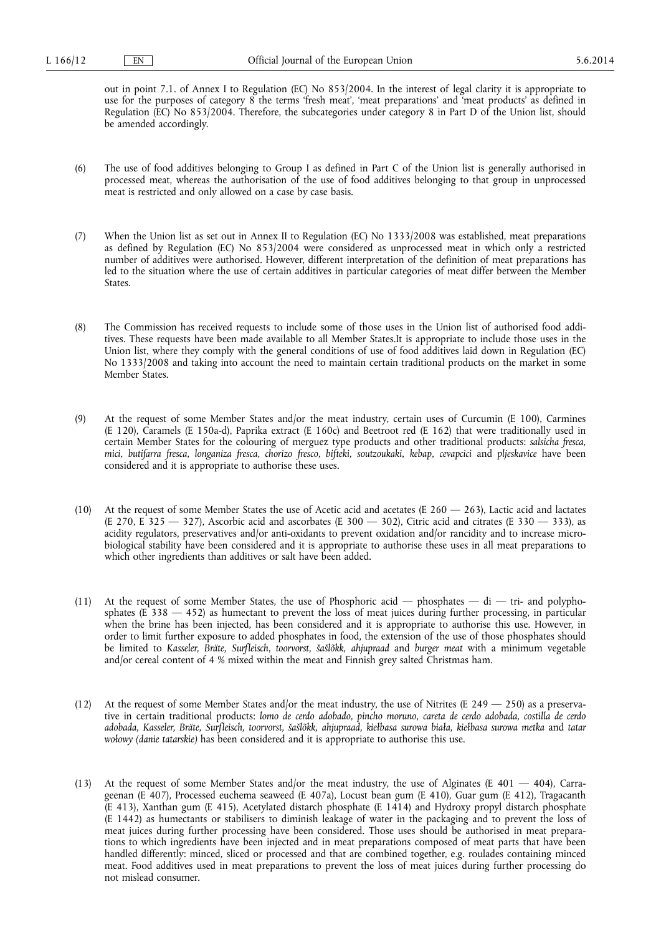out in point 7.1. of Annex I to Regulation (EC) No 853/2004. In the interest of legal clarity it is appropriate to use for the purposes of category 8 the terms 'fresh meat', 'meat preparations' and 'meat products' as defined in Regulation (EC) No 853/2004. Therefore, the subcategories under category 8 in Part D of the Union list, should be amended accordingly.

- (6) The use of food additives belonging to Group I as defined in Part C of the Union list is generally authorised in processed meat, whereas the authorisation of the use of food additives belonging to that group in unprocessed meat is restricted and only allowed on a case by case basis.
- (7) When the Union list as set out in Annex II to Regulation (EC) No 1333/2008 was established, meat preparations as defined by Regulation (EC) No 853/2004 were considered as unprocessed meat in which only a restricted number of additives were authorised. However, different interpretation of the definition of meat preparations has led to the situation where the use of certain additives in particular categories of meat differ between the Member States.
- (8) The Commission has received requests to include some of those uses in the Union list of authorised food additives. These requests have been made available to all Member States.It is appropriate to include those uses in the Union list, where they comply with the general conditions of use of food additives laid down in Regulation (EC) No 1333/2008 and taking into account the need to maintain certain traditional products on the market in some Member States.
- (9) At the request of some Member States and/or the meat industry, certain uses of Curcumin (E 100), Carmines (E 120), Caramels (E 150a-d), Paprika extract (E 160c) and Beetroot red (E 162) that were traditionally used in certain Member States for the colouring of merguez type products and other traditional products: *salsicha fresca, mici, butifarra fresca, longaniza fresca, chorizo fresco, bifteki, soutzoukaki, kebap, cevapcici* and *pljeskavice* have been considered and it is appropriate to authorise these uses.
- (10) At the request of some Member States the use of Acetic acid and acetates (E  $260 263$ ), Lactic acid and lactates (E 270, E 325 — 327), Ascorbic acid and ascorbates (E 300 — 302), Citric acid and citrates (E 330 — 333), as acidity regulators, preservatives and/or anti-oxidants to prevent oxidation and/or rancidity and to increase microbiological stability have been considered and it is appropriate to authorise these uses in all meat preparations to which other ingredients than additives or salt have been added.
- (11) At the request of some Member States, the use of Phosphoric acid phosphates di tri- and polyphosphates (E 338 — 452) as humectant to prevent the loss of meat juices during further processing, in particular when the brine has been injected, has been considered and it is appropriate to authorise this use. However, in order to limit further exposure to added phosphates in food, the extension of the use of those phosphates should be limited to *Kasseler, Bräte, Surfleisch*, *toorvorst, šašlõkk, ahjupraad* and *burger meat* with a minimum vegetable and/or cereal content of 4 % mixed within the meat and Finnish grey salted Christmas ham.
- (12) At the request of some Member States and/or the meat industry, the use of Nitrites (E 249  $-$  250) as a preservative in certain traditional products: *lomo de cerdo adobado, pincho moruno, careta de cerdo adobada, costilla de cerdo adobada, Kasseler, Bräte, Surfleisch, toorvorst, šašlõkk, ahjupraad, kiełbasa surowa biała, kiełbasa surowa metka* and *tatar wołowy (danie tatarskie)* has been considered and it is appropriate to authorise this use.
- (13) At the request of some Member States and/or the meat industry, the use of Alginates (E 401 404), Carrageenan (E 407), Processed euchema seaweed (E 407a), Locust bean gum (E 410), Guar gum (E 412), Tragacanth (E 413), Xanthan gum (E 415), Acetylated distarch phosphate (E 1414) and Hydroxy propyl distarch phosphate (E 1442) as humectants or stabilisers to diminish leakage of water in the packaging and to prevent the loss of meat juices during further processing have been considered. Those uses should be authorised in meat preparations to which ingredients have been injected and in meat preparations composed of meat parts that have been handled differently: minced, sliced or processed and that are combined together, e.g. roulades containing minced meat. Food additives used in meat preparations to prevent the loss of meat juices during further processing do not mislead consumer.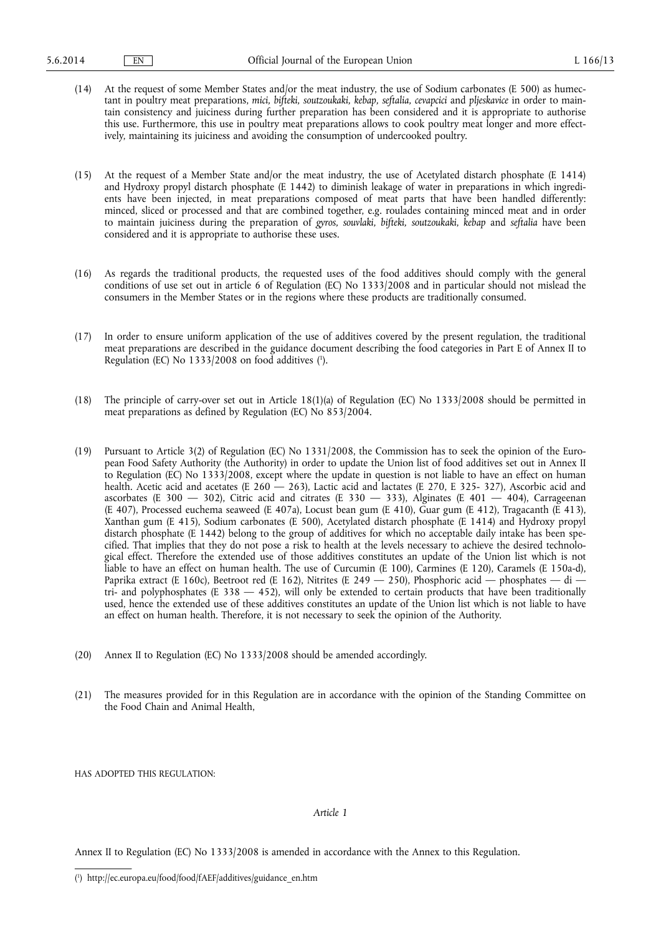- (14) At the request of some Member States and/or the meat industry, the use of Sodium carbonates (E 500) as humectant in poultry meat preparations, *mici, bifteki, soutzoukaki, kebap, seftalia, cevapcici* and *pljeskavice* in order to maintain consistency and juiciness during further preparation has been considered and it is appropriate to authorise this use. Furthermore, this use in poultry meat preparations allows to cook poultry meat longer and more effectively, maintaining its juiciness and avoiding the consumption of undercooked poultry.
- (15) At the request of a Member State and/or the meat industry, the use of Acetylated distarch phosphate (E 1414) and Hydroxy propyl distarch phosphate (E 1442) to diminish leakage of water in preparations in which ingredients have been injected, in meat preparations composed of meat parts that have been handled differently: minced, sliced or processed and that are combined together, e.g. roulades containing minced meat and in order to maintain juiciness during the preparation of *gyros, souvlaki, bifteki, soutzoukaki*, *kebap* and *seftalia* have been considered and it is appropriate to authorise these uses.
- (16) As regards the traditional products, the requested uses of the food additives should comply with the general conditions of use set out in article 6 of Regulation (EC) No 1333/2008 and in particular should not mislead the consumers in the Member States or in the regions where these products are traditionally consumed.
- (17) In order to ensure uniform application of the use of additives covered by the present regulation, the traditional meat preparations are described in the guidance document describing the food categories in Part E of Annex II to Regulation (EC) No 1333/2008 on food additives ( 1 ).
- (18) The principle of carry-over set out in Article 18(1)(a) of Regulation (EC) No 1333/2008 should be permitted in meat preparations as defined by Regulation (EC) No 853/2004.
- (19) Pursuant to Article 3(2) of Regulation (EC) No 1331/2008, the Commission has to seek the opinion of the European Food Safety Authority (the Authority) in order to update the Union list of food additives set out in Annex II to Regulation (EC) No 1333/2008, except where the update in question is not liable to have an effect on human health. Acetic acid and acetates (E 260 - 263), Lactic acid and lactates (E 270, E 325- 327), Ascorbic acid and ascorbates (E 300  $-$  302), Citric acid and citrates (E 330  $-$  333), Alginates (E 401  $-$  404), Carrageenan (E 407), Processed euchema seaweed (E 407a), Locust bean gum (E 410), Guar gum (E 412), Tragacanth (E 413), Xanthan gum (E 415), Sodium carbonates (E 500), Acetylated distarch phosphate (E 1414) and Hydroxy propyl distarch phosphate (E 1442) belong to the group of additives for which no acceptable daily intake has been specified. That implies that they do not pose a risk to health at the levels necessary to achieve the desired technological effect. Therefore the extended use of those additives constitutes an update of the Union list which is not liable to have an effect on human health. The use of Curcumin (E 100), Carmines (E 120), Caramels (E 150a-d), Paprika extract (E 160c), Beetroot red (E 162), Nitrites (E 249 - 250), Phosphoric acid - phosphates - di tri- and polyphosphates (E  $338 - 452$ ), will only be extended to certain products that have been traditionally used, hence the extended use of these additives constitutes an update of the Union list which is not liable to have an effect on human health. Therefore, it is not necessary to seek the opinion of the Authority.
- (20) Annex II to Regulation (EC) No 1333/2008 should be amended accordingly.
- (21) The measures provided for in this Regulation are in accordance with the opinion of the Standing Committee on the Food Chain and Animal Health,

HAS ADOPTED THIS REGULATION:

*Article 1* 

Annex II to Regulation (EC) No 1333/2008 is amended in accordance with the Annex to this Regulation.

<sup>(</sup> 1 ) [http://ec.europa.eu/food/food/fAEF/additives/guidance\\_en.htm](http://ec.europa.eu/food/food/fAEF/additives/guidance_en.htm)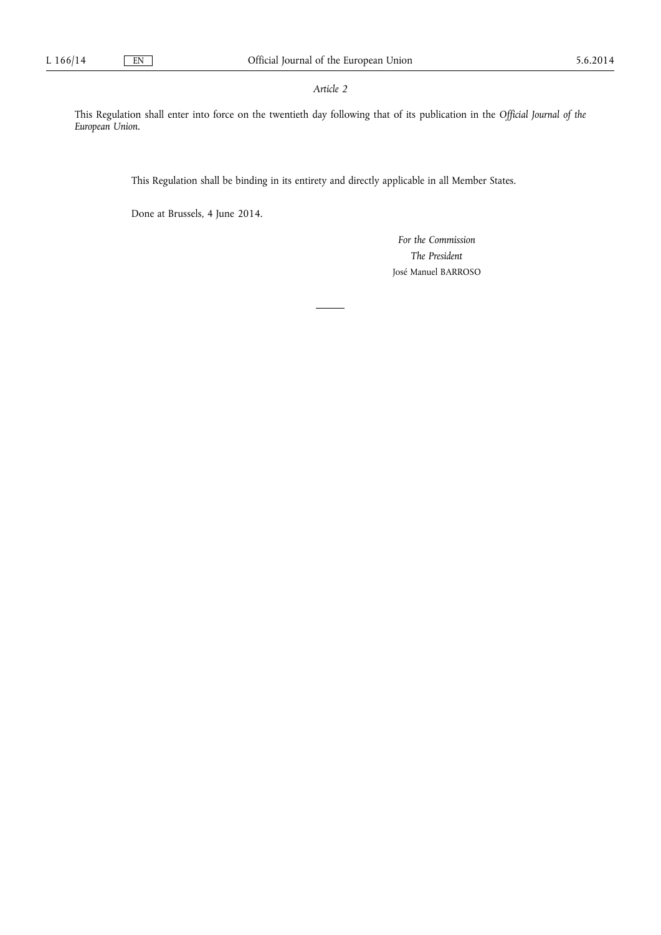### *Article 2*

This Regulation shall enter into force on the twentieth day following that of its publication in the *Official Journal of the European Union*.

This Regulation shall be binding in its entirety and directly applicable in all Member States.

Done at Brussels, 4 June 2014.

*For the Commission The President*  José Manuel BARROSO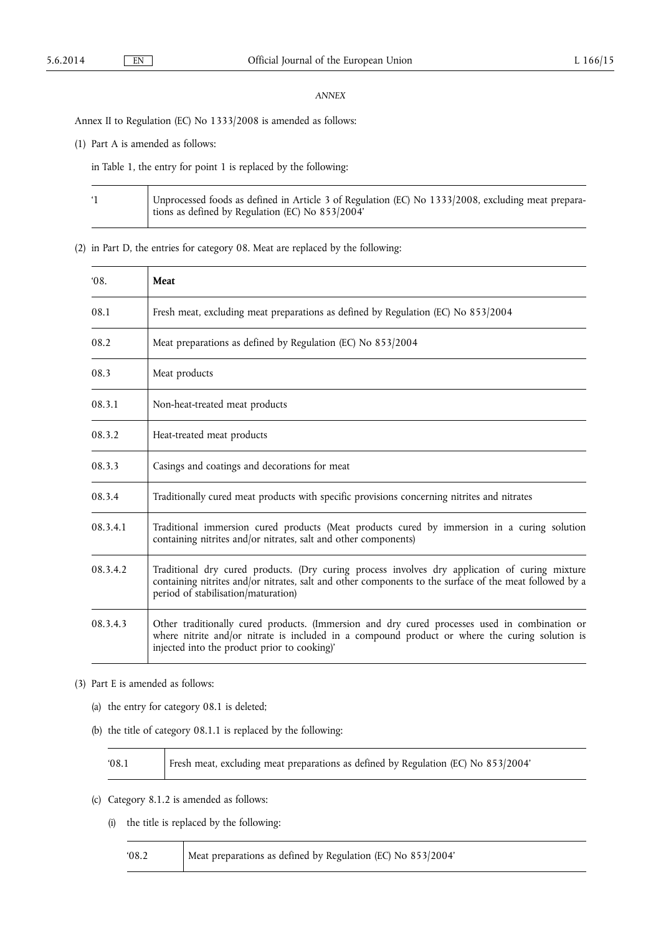#### *ANNEX*

Annex II to Regulation (EC) No 1333/2008 is amended as follows:

(1) Part A is amended as follows:

 $\overline{\mathsf{T}}$ 

in Table 1, the entry for point 1 is replaced by the following:

| Unprocessed foods as defined in Article 3 of Regulation (EC) No 1333/2008, excluding meat prepara-<br>tions as defined by Regulation (EC) No 853/2004' |
|--------------------------------------------------------------------------------------------------------------------------------------------------------|
|                                                                                                                                                        |

(2) in Part D, the entries for category 08. Meat are replaced by the following:

| 08.      | Meat                                                                                                                                                                                                                                             |  |  |  |  |
|----------|--------------------------------------------------------------------------------------------------------------------------------------------------------------------------------------------------------------------------------------------------|--|--|--|--|
| 08.1     | Fresh meat, excluding meat preparations as defined by Regulation (EC) No 853/2004                                                                                                                                                                |  |  |  |  |
| 08.2     | Meat preparations as defined by Regulation (EC) No 853/2004                                                                                                                                                                                      |  |  |  |  |
| 08.3     | Meat products                                                                                                                                                                                                                                    |  |  |  |  |
| 08.3.1   | Non-heat-treated meat products                                                                                                                                                                                                                   |  |  |  |  |
| 08.3.2   | Heat-treated meat products                                                                                                                                                                                                                       |  |  |  |  |
| 08.3.3   | Casings and coatings and decorations for meat                                                                                                                                                                                                    |  |  |  |  |
| 08.3.4   | Traditionally cured meat products with specific provisions concerning nitrites and nitrates                                                                                                                                                      |  |  |  |  |
| 08.3.4.1 | Traditional immersion cured products (Meat products cured by immersion in a curing solution<br>containing nitrites and/or nitrates, salt and other components)                                                                                   |  |  |  |  |
| 08.3.4.2 | Traditional dry cured products. (Dry curing process involves dry application of curing mixture<br>containing nitrites and/or nitrates, salt and other components to the surface of the meat followed by a<br>period of stabilisation/maturation) |  |  |  |  |
| 08.3.4.3 | Other traditionally cured products. (Immersion and dry cured processes used in combination or<br>where nitrite and/or nitrate is included in a compound product or where the curing solution is<br>injected into the product prior to cooking)'  |  |  |  |  |

(3) Part E is amended as follows:

- (a) the entry for category 08.1 is deleted;
- (b) the title of category 08.1.1 is replaced by the following:

| 08.1 | Fresh meat, excluding meat preparations as defined by Regulation (EC) No 853/2004' |
|------|------------------------------------------------------------------------------------|
|------|------------------------------------------------------------------------------------|

(c) Category 8.1.2 is amended as follows:

Τ

(i) the title is replaced by the following:

| 08.2 | Meat preparations as defined by Regulation (EC) No 853/2004' |  |
|------|--------------------------------------------------------------|--|
|------|--------------------------------------------------------------|--|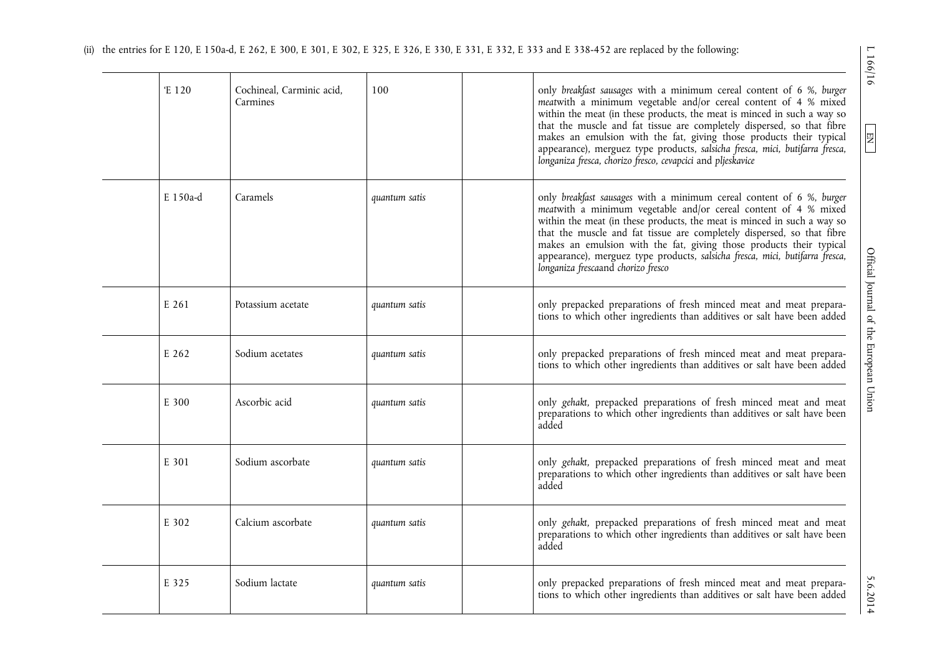| E 120    | Cochineal, Carminic acid,<br>Carmines | 100           | only breakfast sausages with a minimum cereal content of 6 %, burger<br>meatwith a minimum vegetable and/or cereal content of 4 % mixed<br>within the meat (in these products, the meat is minced in such a way so<br>that the muscle and fat tissue are completely dispersed, so that fibre<br>makes an emulsion with the fat, giving those products their typical<br>appearance), merguez type products, salsicha fresca, mici, butifarra fresca,<br>longaniza fresca, chorizo fresco, cevapcici and pljeskavice |
|----------|---------------------------------------|---------------|--------------------------------------------------------------------------------------------------------------------------------------------------------------------------------------------------------------------------------------------------------------------------------------------------------------------------------------------------------------------------------------------------------------------------------------------------------------------------------------------------------------------|
| E 150a-d | Caramels                              | quantum satis | only breakfast sausages with a minimum cereal content of 6 %, burger<br>meatwith a minimum vegetable and/or cereal content of 4 % mixed<br>within the meat (in these products, the meat is minced in such a way so<br>that the muscle and fat tissue are completely dispersed, so that fibre<br>makes an emulsion with the fat, giving those products their typical<br>appearance), merguez type products, salsicha fresca, mici, butifarra fresca,<br>longaniza frescaand chorizo fresco                          |
| E 261    | Potassium acetate                     | quantum satis | only prepacked preparations of fresh minced meat and meat prepara-<br>tions to which other ingredients than additives or salt have been added                                                                                                                                                                                                                                                                                                                                                                      |
| E 262    | Sodium acetates                       | quantum satis | only prepacked preparations of fresh minced meat and meat prepara-<br>tions to which other ingredients than additives or salt have been added                                                                                                                                                                                                                                                                                                                                                                      |
| E 300    | Ascorbic acid                         | quantum satis | only gehakt, prepacked preparations of fresh minced meat and meat<br>preparations to which other ingredients than additives or salt have been<br>added                                                                                                                                                                                                                                                                                                                                                             |
| E 301    | Sodium ascorbate                      | quantum satis | only gehakt, prepacked preparations of fresh minced meat and meat<br>preparations to which other ingredients than additives or salt have been<br>added                                                                                                                                                                                                                                                                                                                                                             |
| E 302    | Calcium ascorbate                     | quantum satis | only gehakt, prepacked preparations of fresh minced meat and meat<br>preparations to which other ingredients than additives or salt have been<br>added                                                                                                                                                                                                                                                                                                                                                             |
| E 325    | Sodium lactate                        | quantum satis | only prepacked preparations of fresh minced meat and meat prepara-<br>tions to which other ingredients than additives or salt have been added                                                                                                                                                                                                                                                                                                                                                                      |

 $1166/16$ 

 $\boxed{\phantom{000} \text{EM}}$ 

5.6.2014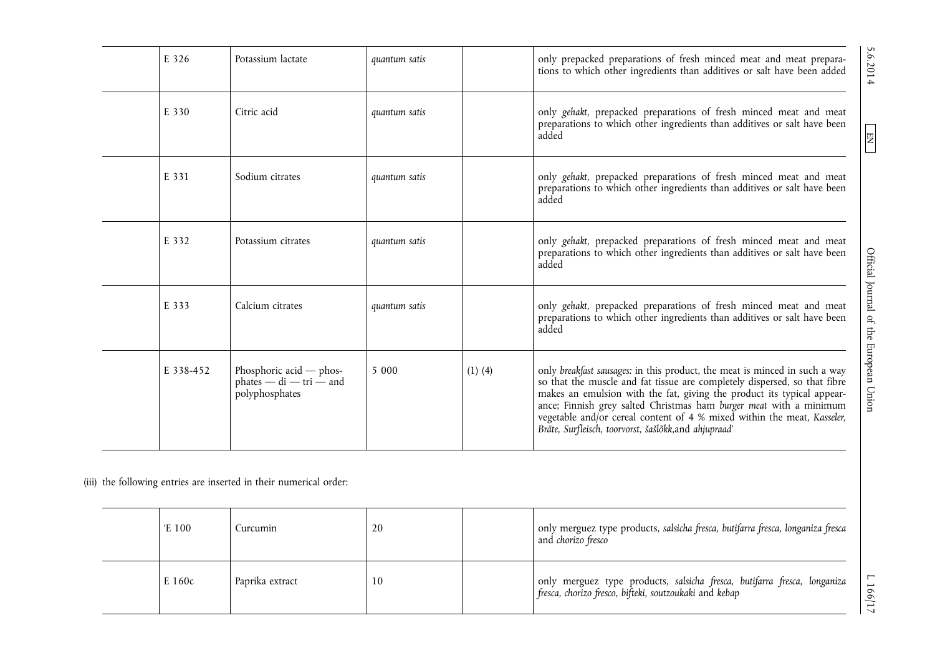| E 326     | Potassium lactate                                                        | quantum satis |             | only prepacked preparations of fresh minced meat and meat prepara-<br>tions to which other ingredients than additives or salt have been added                                                                                                                                                                                                                                                                                               |
|-----------|--------------------------------------------------------------------------|---------------|-------------|---------------------------------------------------------------------------------------------------------------------------------------------------------------------------------------------------------------------------------------------------------------------------------------------------------------------------------------------------------------------------------------------------------------------------------------------|
| E 330     | Citric acid                                                              | quantum satis |             | only gehakt, prepacked preparations of fresh minced meat and meat<br>preparations to which other ingredients than additives or salt have been<br>added                                                                                                                                                                                                                                                                                      |
| E 331     | Sodium citrates                                                          | quantum satis |             | only gehakt, prepacked preparations of fresh minced meat and meat<br>preparations to which other ingredients than additives or salt have been<br>added                                                                                                                                                                                                                                                                                      |
| E 332     | Potassium citrates                                                       | quantum satis |             | only gehakt, prepacked preparations of fresh minced meat and meat<br>preparations to which other ingredients than additives or salt have been<br>added                                                                                                                                                                                                                                                                                      |
| E 333     | Calcium citrates                                                         | quantum satis |             | only gehakt, prepacked preparations of fresh minced meat and meat<br>preparations to which other ingredients than additives or salt have been<br>added                                                                                                                                                                                                                                                                                      |
| E 338-452 | Phosphoric acid $-$ phos-<br>$phates - di - tri - and$<br>polyphosphates | 5 0 0 0       | $(1)$ $(4)$ | only breakfast sausages: in this product, the meat is minced in such a way<br>so that the muscle and fat tissue are completely dispersed, so that fibre<br>makes an emulsion with the fat, giving the product its typical appear-<br>ance; Finnish grey salted Christmas ham burger meat with a minimum<br>vegetable and/or cereal content of 4 % mixed within the meat, Kasseler,<br>Bräte, Surfleisch, toorvorst, šašlõkk, and ahjupraad' |

(iii) the following entries are inserted in their numerical order:

| Έ 100  | Curcumin        | 20 | only merguez type products, salsicha fresca, butifarra fresca, longaniza fresca<br>and <i>chorizo fresco</i>                       |
|--------|-----------------|----|------------------------------------------------------------------------------------------------------------------------------------|
| E 160c | Paprika extract | 10 | only merguez type products, salsicha fresca, butifarra fresca, longaniza<br>fresca, chorizo fresco, bifteki, soutzoukaki and kebap |

5.6.2014

# $\begin{tabular}{|c|c|} \hline \hline \text{EN} \\ \hline \end{tabular}$

 $L166/17$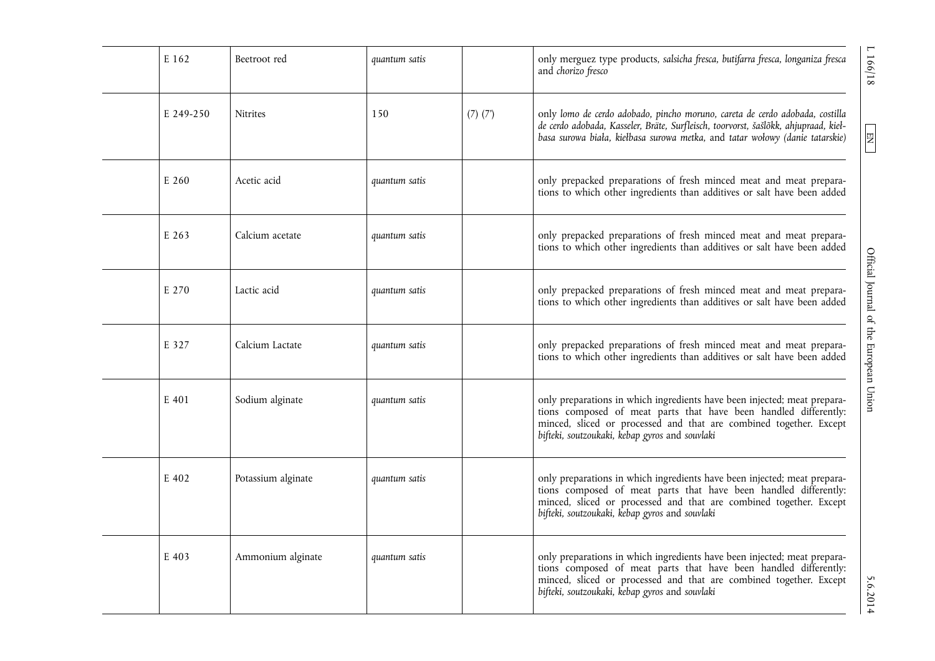| E 162     | Beetroot red       | quantum satis |              | 1 166/18<br>only merguez type products, salsicha fresca, butifarra fresca, longaniza fresca<br>and chorizo fresco                                                                                                                                                                         |
|-----------|--------------------|---------------|--------------|-------------------------------------------------------------------------------------------------------------------------------------------------------------------------------------------------------------------------------------------------------------------------------------------|
| E 249-250 | <b>Nitrites</b>    | 150           | $(7)$ $(7')$ | only lomo de cerdo adobado, pincho moruno, careta de cerdo adobada, costilla<br>de cerdo adobada, Kasseler, Bräte, Surfleisch, toorvorst, šašlõkk, ahjupraad, kieł-<br>$\boxed{\phantom{13.5} \text{Hz}}$<br>basa surowa biała, kiełbasa surowa metka, and tatar wołowy (danie tatarskie) |
| E 260     | Acetic acid        | quantum satis |              | only prepacked preparations of fresh minced meat and meat prepara-<br>tions to which other ingredients than additives or salt have been added                                                                                                                                             |
| E 263     | Calcium acetate    | quantum satis |              | only prepacked preparations of fresh minced meat and meat prepara-<br>tions to which other ingredients than additives or salt have been added                                                                                                                                             |
| E 270     | Lactic acid        | quantum satis |              | Official Journal of the European Union<br>only prepacked preparations of fresh minced meat and meat prepara-<br>tions to which other ingredients than additives or salt have been added                                                                                                   |
| E 327     | Calcium Lactate    | quantum satis |              | only prepacked preparations of fresh minced meat and meat prepara-<br>tions to which other ingredients than additives or salt have been added                                                                                                                                             |
| E 401     | Sodium alginate    | quantum satis |              | only preparations in which ingredients have been injected; meat prepara-<br>tions composed of meat parts that have been handled differently:<br>minced, sliced or processed and that are combined together. Except<br>bifteki, soutzoukaki, kebap gyros and souvlaki                      |
| E 402     | Potassium alginate | quantum satis |              | only preparations in which ingredients have been injected; meat prepara-<br>tions composed of meat parts that have been handled differently:<br>minced, sliced or processed and that are combined together. Except<br>bifteki, soutzoukaki, kebap gyros and souvlaki                      |
| E 403     | Ammonium alginate  | quantum satis |              | only preparations in which ingredients have been injected; meat prepara-<br>tions composed of meat parts that have been handled differently:<br>minced, sliced or processed and that are combined together. Except<br>5.6.2014<br>bifteki, soutzoukaki, kebap gyros and souvlaki          |

5.6.2014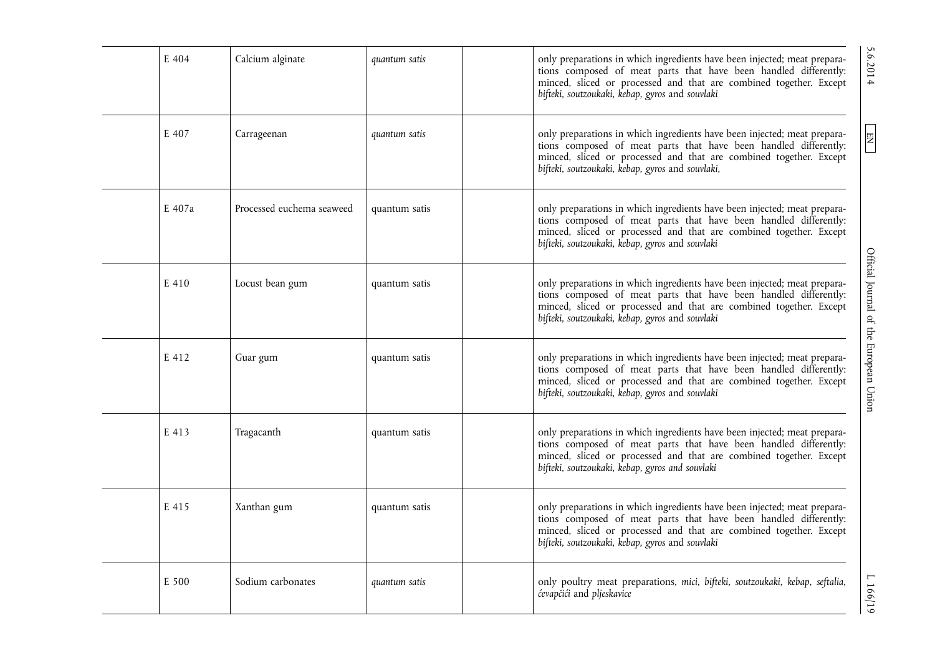| E 404  | Calcium alginate          | quantum satis | only preparations in which ingredients have been injected; meat prepara-<br>tions composed of meat parts that have been handled differently:<br>minced, sliced or processed and that are combined together. Except<br>bifteki, soutzoukaki, kebap, gyros and souvlaki  |
|--------|---------------------------|---------------|------------------------------------------------------------------------------------------------------------------------------------------------------------------------------------------------------------------------------------------------------------------------|
| E 407  | Carrageenan               | quantum satis | only preparations in which ingredients have been injected; meat prepara-<br>tions composed of meat parts that have been handled differently:<br>minced, sliced or processed and that are combined together. Except<br>bifteki, soutzoukaki, kebap, gyros and souvlaki, |
| E 407a | Processed euchema seaweed | quantum satis | only preparations in which ingredients have been injected; meat prepara-<br>tions composed of meat parts that have been handled differently:<br>minced, sliced or processed and that are combined together. Except<br>bifteki, soutzoukaki, kebap, gyros and souvlaki  |
| E 410  | Locust bean gum           | quantum satis | only preparations in which ingredients have been injected; meat prepara-<br>tions composed of meat parts that have been handled differently:<br>minced, sliced or processed and that are combined together. Except<br>bifteki, soutzoukaki, kebap, gyros and souvlaki  |
| E 412  | Guar gum                  | quantum satis | only preparations in which ingredients have been injected; meat prepara-<br>tions composed of meat parts that have been handled differently:<br>minced, sliced or processed and that are combined together. Except<br>bifteki, soutzoukaki, kebap, gyros and souvlaki  |
| E 413  | Tragacanth                | quantum satis | only preparations in which ingredients have been injected; meat prepara-<br>tions composed of meat parts that have been handled differently:<br>minced, sliced or processed and that are combined together. Except<br>bifteki, soutzoukaki, kebap, gyros and souvlaki  |
| E 415  | Xanthan gum               | quantum satis | only preparations in which ingredients have been injected; meat prepara-<br>tions composed of meat parts that have been handled differently:<br>minced, sliced or processed and that are combined together. Except<br>bifteki, soutzoukaki, kebap, gyros and souvlaki  |
| E 500  | Sodium carbonates         | quantum satis | only poultry meat preparations, mici, bifteki, soutzoukaki, kebap, seftalia,<br>ćevapčići and pljeskavice                                                                                                                                                              |

5.6.2014

 $\boxed{\text{EN}}$ 

 $1166/19$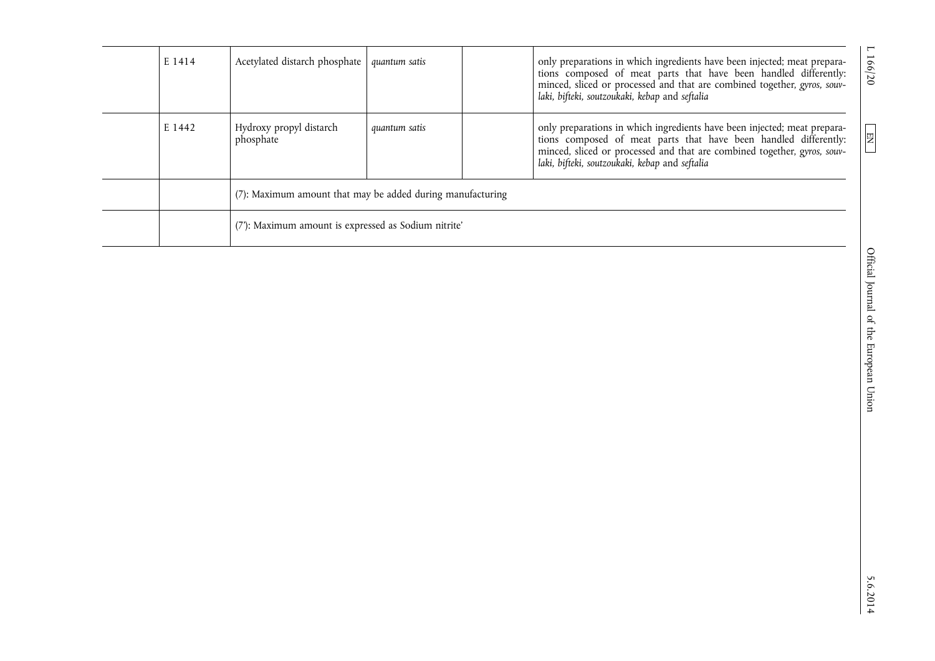| E 1414 | Acetylated distarch phosphate                              | quantum satis | only preparations in which ingredients have been injected; meat prepara-<br>tions composed of meat parts that have been handled differently:<br>minced, sliced or processed and that are combined together, gyros, souv-<br>laki, bifteki, soutzoukaki, kebap and seftalia | 166/20       |
|--------|------------------------------------------------------------|---------------|----------------------------------------------------------------------------------------------------------------------------------------------------------------------------------------------------------------------------------------------------------------------------|--------------|
| E 1442 | Hydroxy propyl distarch<br>phosphate                       | quantum satis | only preparations in which ingredients have been injected; meat prepara-<br>tions composed of meat parts that have been handled differently:<br>minced, sliced or processed and that are combined together, gyros, souv-<br>laki, bifteki, soutzoukaki, kebap and seftalia | $\boxed{EN}$ |
|        | (7): Maximum amount that may be added during manufacturing |               |                                                                                                                                                                                                                                                                            |              |
|        | (7): Maximum amount is expressed as Sodium nitrite'        |               |                                                                                                                                                                                                                                                                            |              |